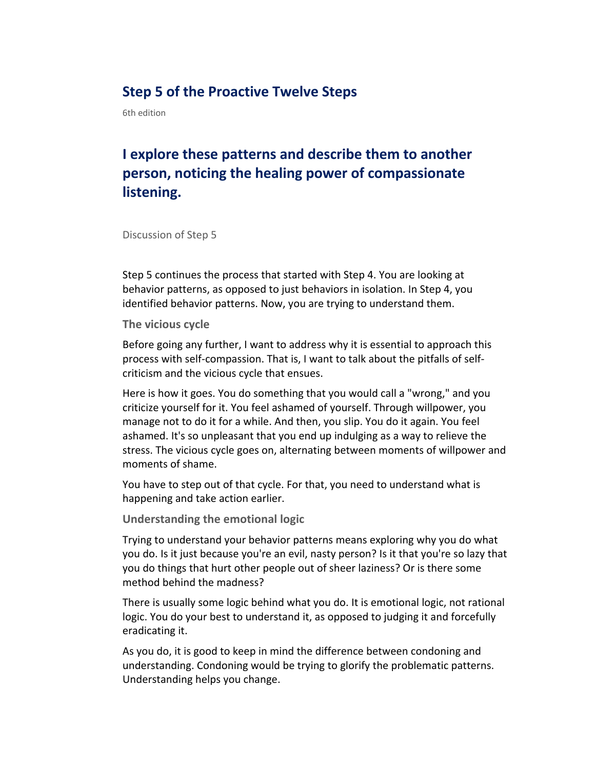## **Step 5 of the Proactive Twelve Steps**

6th edition

## **I explore these patterns and describe them to another person, noticing the healing power of compassionate listening.**

Discussion of Step 5

Step 5 continues the process that started with Step 4. You are looking at behavior patterns, as opposed to just behaviors in isolation. In Step 4, you identified behavior patterns. Now, you are trying to understand them.

**The vicious cycle**

Before going any further, I want to address why it is essential to approach this process with self-compassion. That is, I want to talk about the pitfalls of selfcriticism and the vicious cycle that ensues.

Here is how it goes. You do something that you would call a "wrong," and you criticize yourself for it. You feel ashamed of yourself. Through willpower, you manage not to do it for a while. And then, you slip. You do it again. You feel ashamed. It's so unpleasant that you end up indulging as a way to relieve the stress. The vicious cycle goes on, alternating between moments of willpower and moments of shame.

You have to step out of that cycle. For that, you need to understand what is happening and take action earlier.

**Understanding the emotional logic**

Trying to understand your behavior patterns means exploring why you do what you do. Is it just because you're an evil, nasty person? Is it that you're so lazy that you do things that hurt other people out of sheer laziness? Or is there some method behind the madness?

There is usually some logic behind what you do. It is emotional logic, not rational logic. You do your best to understand it, as opposed to judging it and forcefully eradicating it.

As you do, it is good to keep in mind the difference between condoning and understanding. Condoning would be trying to glorify the problematic patterns. Understanding helps you change.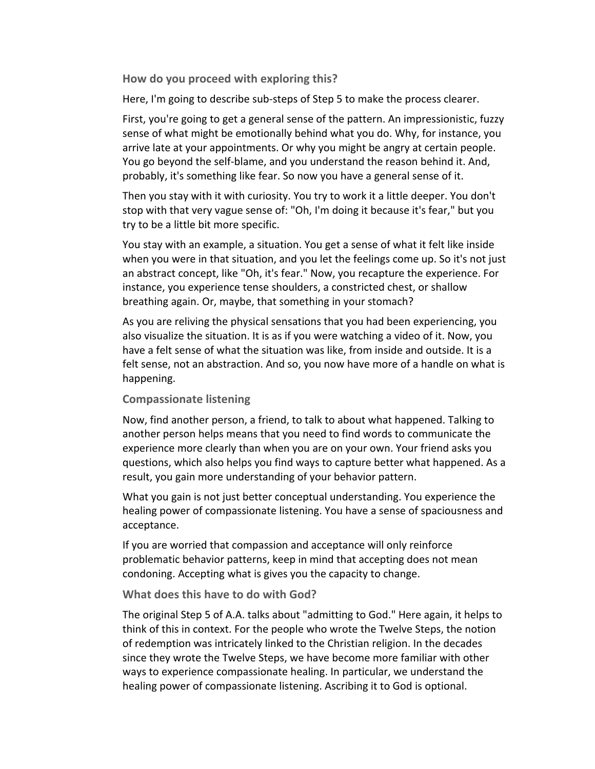**How do you proceed with exploring this?**

Here, I'm going to describe sub-steps of Step 5 to make the process clearer.

First, you're going to get a general sense of the pattern. An impressionistic, fuzzy sense of what might be emotionally behind what you do. Why, for instance, you arrive late at your appointments. Or why you might be angry at certain people. You go beyond the self-blame, and you understand the reason behind it. And, probably, it's something like fear. So now you have a general sense of it.

Then you stay with it with curiosity. You try to work it a little deeper. You don't stop with that very vague sense of: "Oh, I'm doing it because it's fear," but you try to be a little bit more specific.

You stay with an example, a situation. You get a sense of what it felt like inside when you were in that situation, and you let the feelings come up. So it's not just an abstract concept, like "Oh, it's fear." Now, you recapture the experience. For instance, you experience tense shoulders, a constricted chest, or shallow breathing again. Or, maybe, that something in your stomach?

As you are reliving the physical sensations that you had been experiencing, you also visualize the situation. It is as if you were watching a video of it. Now, you have a felt sense of what the situation was like, from inside and outside. It is a felt sense, not an abstraction. And so, you now have more of a handle on what is happening.

## **Compassionate listening**

Now, find another person, a friend, to talk to about what happened. Talking to another person helps means that you need to find words to communicate the experience more clearly than when you are on your own. Your friend asks you questions, which also helps you find ways to capture better what happened. As a result, you gain more understanding of your behavior pattern.

What you gain is not just better conceptual understanding. You experience the healing power of compassionate listening. You have a sense of spaciousness and acceptance.

If you are worried that compassion and acceptance will only reinforce problematic behavior patterns, keep in mind that accepting does not mean condoning. Accepting what is gives you the capacity to change.

**What does this have to do with God?**

The original Step 5 of A.A. talks about "admitting to God." Here again, it helps to think of this in context. For the people who wrote the Twelve Steps, the notion of redemption was intricately linked to the Christian religion. In the decades since they wrote the Twelve Steps, we have become more familiar with other ways to experience compassionate healing. In particular, we understand the healing power of compassionate listening. Ascribing it to God is optional.